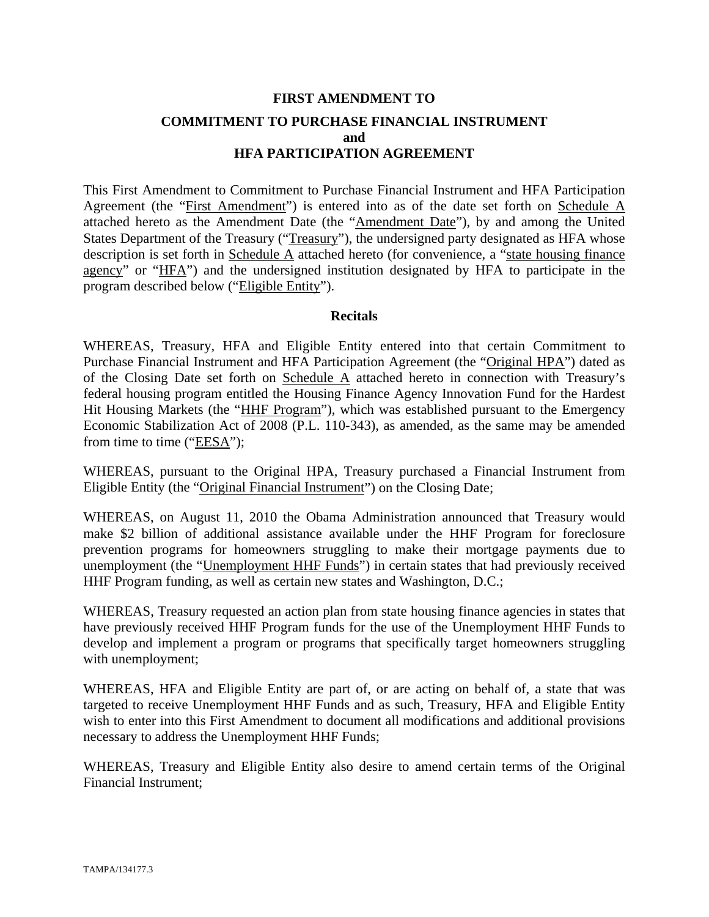# **FIRST AMENDMENT TO COMMITMENT TO PURCHASE FINANCIAL INSTRUMENT and HFA PARTICIPATION AGREEMENT**

This First Amendment to Commitment to Purchase Financial Instrument and HFA Participation Agreement (the "First Amendment") is entered into as of the date set forth on Schedule A attached hereto as the Amendment Date (the "Amendment Date"), by and among the United States Department of the Treasury ("Treasury"), the undersigned party designated as HFA whose description is set forth in Schedule A attached hereto (for convenience, a "state housing finance agency" or "HFA") and the undersigned institution designated by HFA to participate in the program described below ("Eligible Entity").

#### **Recitals**

WHEREAS, Treasury, HFA and Eligible Entity entered into that certain Commitment to Purchase Financial Instrument and HFA Participation Agreement (the "Original HPA") dated as of the Closing Date set forth on Schedule A attached hereto in connection with Treasury's federal housing program entitled the Housing Finance Agency Innovation Fund for the Hardest Hit Housing Markets (the "HHF Program"), which was established pursuant to the Emergency Economic Stabilization Act of 2008 (P.L. 110-343), as amended, as the same may be amended from time to time ("EESA");

WHEREAS, pursuant to the Original HPA, Treasury purchased a Financial Instrument from Eligible Entity (the "Original Financial Instrument") on the Closing Date;

WHEREAS, on August 11, 2010 the Obama Administration announced that Treasury would make \$2 billion of additional assistance available under the HHF Program for foreclosure prevention programs for homeowners struggling to make their mortgage payments due to unemployment (the "Unemployment HHF Funds") in certain states that had previously received HHF Program funding, as well as certain new states and Washington, D.C.;

WHEREAS, Treasury requested an action plan from state housing finance agencies in states that have previously received HHF Program funds for the use of the Unemployment HHF Funds to develop and implement a program or programs that specifically target homeowners struggling with unemployment;

WHEREAS, HFA and Eligible Entity are part of, or are acting on behalf of, a state that was targeted to receive Unemployment HHF Funds and as such, Treasury, HFA and Eligible Entity wish to enter into this First Amendment to document all modifications and additional provisions necessary to address the Unemployment HHF Funds;

WHEREAS, Treasury and Eligible Entity also desire to amend certain terms of the Original Financial Instrument;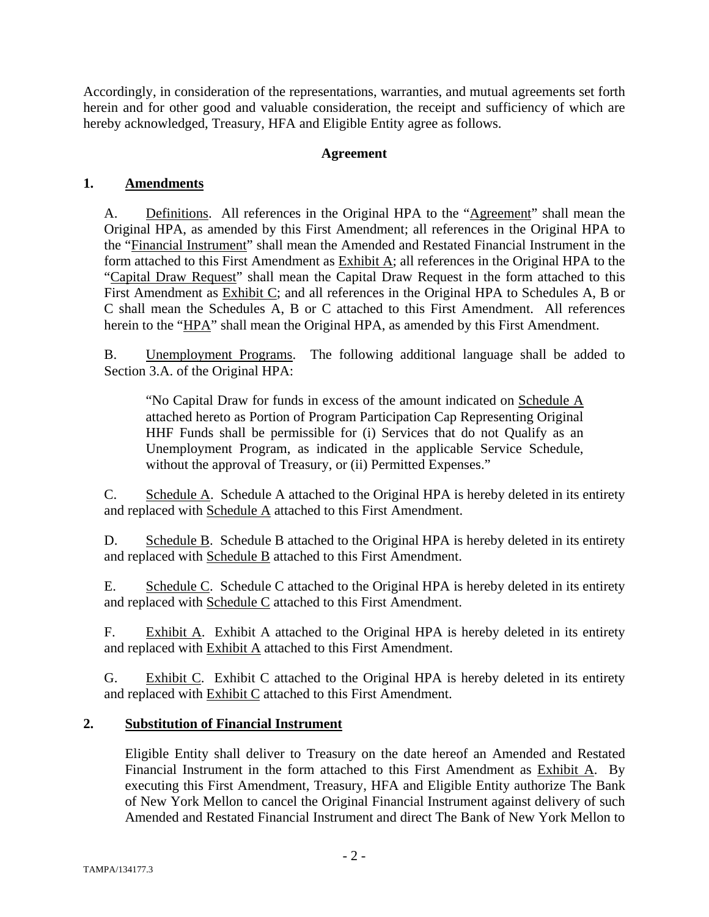Accordingly, in consideration of the representations, warranties, and mutual agreements set forth herein and for other good and valuable consideration, the receipt and sufficiency of which are hereby acknowledged, Treasury, HFA and Eligible Entity agree as follows.

## **Agreement**

## **1. Amendments**

A. Definitions. All references in the Original HPA to the "Agreement" shall mean the Original HPA, as amended by this First Amendment; all references in the Original HPA to the "Financial Instrument" shall mean the Amended and Restated Financial Instrument in the form attached to this First Amendment as Exhibit A; all references in the Original HPA to the "Capital Draw Request" shall mean the Capital Draw Request in the form attached to this First Amendment as Exhibit C; and all references in the Original HPA to Schedules A, B or C shall mean the Schedules A, B or C attached to this First Amendment. All references herein to the "HPA" shall mean the Original HPA, as amended by this First Amendment.

B. Unemployment Programs. The following additional language shall be added to Section 3.A. of the Original HPA:

"No Capital Draw for funds in excess of the amount indicated on Schedule A attached hereto as Portion of Program Participation Cap Representing Original HHF Funds shall be permissible for (i) Services that do not Qualify as an Unemployment Program, as indicated in the applicable Service Schedule, without the approval of Treasury, or (ii) Permitted Expenses."

C. Schedule A. Schedule A attached to the Original HPA is hereby deleted in its entirety and replaced with Schedule A attached to this First Amendment.

D. Schedule B. Schedule B attached to the Original HPA is hereby deleted in its entirety and replaced with Schedule B attached to this First Amendment.

E. Schedule C. Schedule C attached to the Original HPA is hereby deleted in its entirety and replaced with Schedule C attached to this First Amendment.

F. Exhibit A. Exhibit A attached to the Original HPA is hereby deleted in its entirety and replaced with **Exhibit A** attached to this First Amendment.

G. Exhibit C. Exhibit C attached to the Original HPA is hereby deleted in its entirety and replaced with **Exhibit C** attached to this First Amendment.

## **2. Substitution of Financial Instrument**

Eligible Entity shall deliver to Treasury on the date hereof an Amended and Restated Financial Instrument in the form attached to this First Amendment as Exhibit A. By executing this First Amendment, Treasury, HFA and Eligible Entity authorize The Bank of New York Mellon to cancel the Original Financial Instrument against delivery of such Amended and Restated Financial Instrument and direct The Bank of New York Mellon to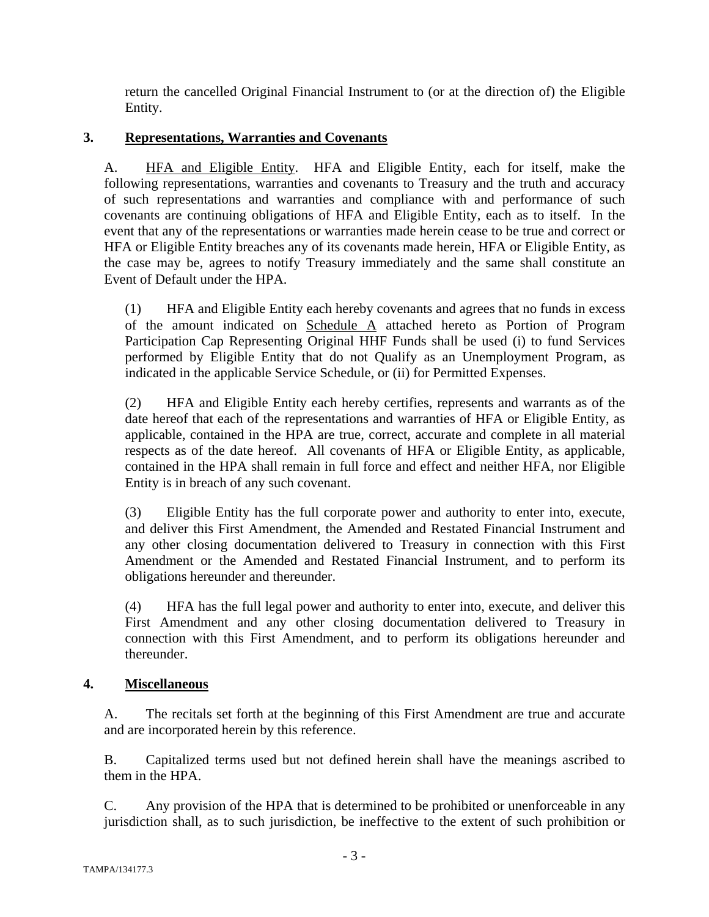return the cancelled Original Financial Instrument to (or at the direction of) the Eligible Entity.

# **3. Representations, Warranties and Covenants**

A. HFA and Eligible Entity. HFA and Eligible Entity, each for itself, make the following representations, warranties and covenants to Treasury and the truth and accuracy of such representations and warranties and compliance with and performance of such covenants are continuing obligations of HFA and Eligible Entity, each as to itself. In the event that any of the representations or warranties made herein cease to be true and correct or HFA or Eligible Entity breaches any of its covenants made herein, HFA or Eligible Entity, as the case may be, agrees to notify Treasury immediately and the same shall constitute an Event of Default under the HPA.

(1) HFA and Eligible Entity each hereby covenants and agrees that no funds in excess of the amount indicated on Schedule A attached hereto as Portion of Program Participation Cap Representing Original HHF Funds shall be used (i) to fund Services performed by Eligible Entity that do not Qualify as an Unemployment Program, as indicated in the applicable Service Schedule, or (ii) for Permitted Expenses.

(2) HFA and Eligible Entity each hereby certifies, represents and warrants as of the date hereof that each of the representations and warranties of HFA or Eligible Entity, as applicable, contained in the HPA are true, correct, accurate and complete in all material respects as of the date hereof. All covenants of HFA or Eligible Entity, as applicable, contained in the HPA shall remain in full force and effect and neither HFA, nor Eligible Entity is in breach of any such covenant.

(3) Eligible Entity has the full corporate power and authority to enter into, execute, and deliver this First Amendment, the Amended and Restated Financial Instrument and any other closing documentation delivered to Treasury in connection with this First Amendment or the Amended and Restated Financial Instrument, and to perform its obligations hereunder and thereunder.

(4) HFA has the full legal power and authority to enter into, execute, and deliver this First Amendment and any other closing documentation delivered to Treasury in connection with this First Amendment, and to perform its obligations hereunder and thereunder.

## **4. Miscellaneous**

A. The recitals set forth at the beginning of this First Amendment are true and accurate and are incorporated herein by this reference.

B. Capitalized terms used but not defined herein shall have the meanings ascribed to them in the HPA.

C. Any provision of the HPA that is determined to be prohibited or unenforceable in any jurisdiction shall, as to such jurisdiction, be ineffective to the extent of such prohibition or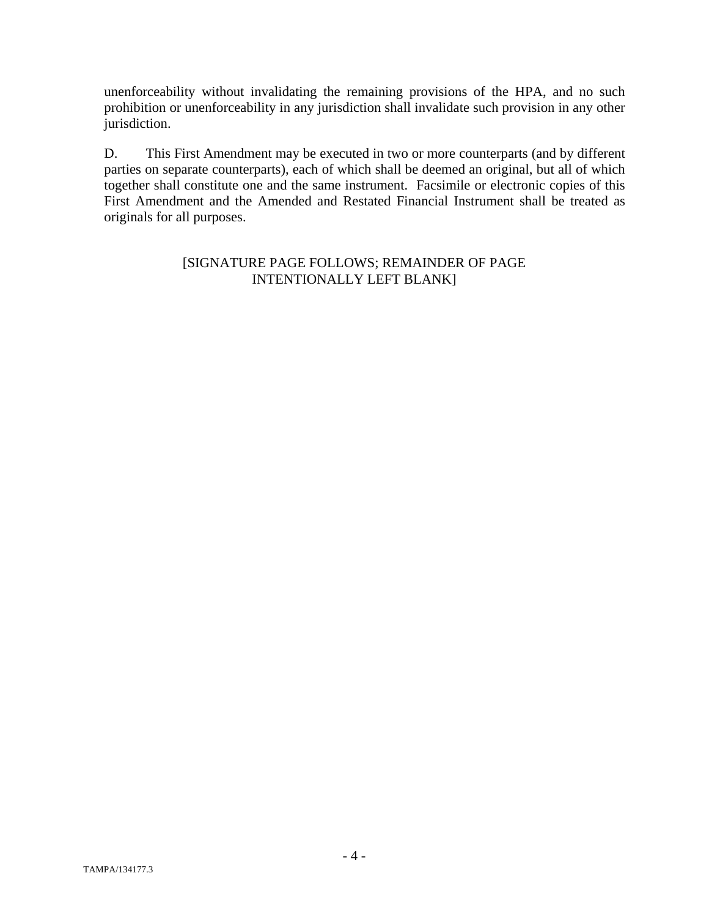unenforceability without invalidating the remaining provisions of the HPA, and no such prohibition or unenforceability in any jurisdiction shall invalidate such provision in any other jurisdiction.

D. This First Amendment may be executed in two or more counterparts (and by different parties on separate counterparts), each of which shall be deemed an original, but all of which together shall constitute one and the same instrument. Facsimile or electronic copies of this First Amendment and the Amended and Restated Financial Instrument shall be treated as originals for all purposes.

## [SIGNATURE PAGE FOLLOWS; REMAINDER OF PAGE INTENTIONALLY LEFT BLANK]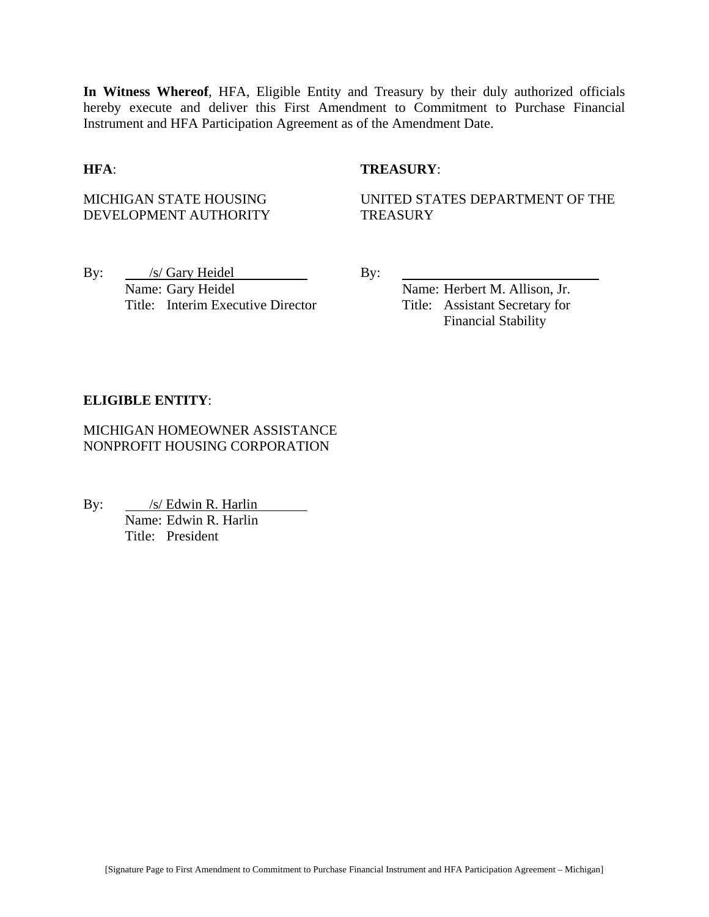**In Witness Whereof**, HFA, Eligible Entity and Treasury by their duly authorized officials hereby execute and deliver this First Amendment to Commitment to Purchase Financial Instrument and HFA Participation Agreement as of the Amendment Date.

#### **HFA**: **TREASURY**:

MICHIGAN STATE HOUSING DEVELOPMENT AUTHORITY UNITED STATES DEPARTMENT OF THE **TREASURY** 

By: /s/ Gary Heidel By: Name: Gary Heidel Name: Herbert M. Allison, Jr. Title: Interim Executive Director Title: Assistant Secretary for

Financial Stability

#### **ELIGIBLE ENTITY**:

MICHIGAN HOMEOWNER ASSISTANCE NONPROFIT HOUSING CORPORATION

By: /s/ Edwin R. Harlin **Name: Edwin R. Harlin**<br>Name: Edwin R. Harlin Title: President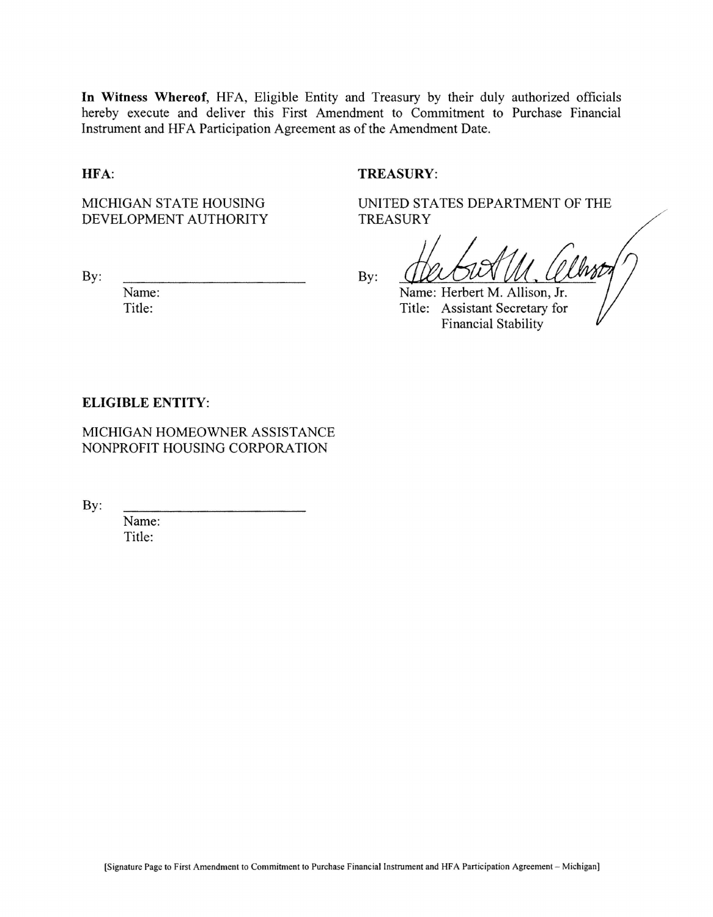In Witness Whereof, HFA, Eligible Entity and Treasury by their duly authorized officials hereby execute and deliver this First Amendment to Commitment to Purchase Financial Instrument and HFA Participation Agreement as of the Amendment Date.

#### HFA:

### **TREASURY:**

MICHIGAN STATE HOUSING DEVELOPMENT AUTHORITY

By:

Name: Title:

 $By:$ 

**TREASURY** 

UNITED STATES DEPARTMENT OF THE

Name: Herbert M. Allison, Jr. Title: Assistant Secretary for **Financial Stability** 

#### **ELIGIBLE ENTITY:**

MICHIGAN HOMEOWNER ASSISTANCE NONPROFIT HOUSING CORPORATION

By:

Name: Title: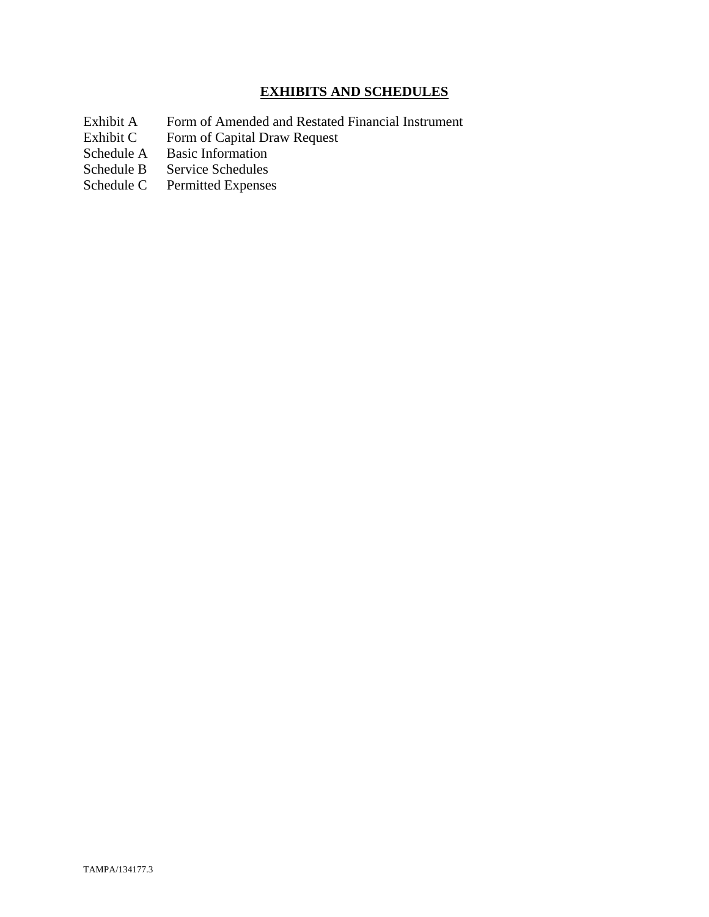# **EXHIBITS AND SCHEDULES**

- Exhibit A Form of Amended and Restated Financial Instrument<br>Exhibit C Form of Capital Draw Request
- Exhibit C Form of Capital Draw Request<br>Schedule A Basic Information
- Schedule A Basic Information<br>Schedule B Service Schedules
- Service Schedules
- Schedule C Permitted Expenses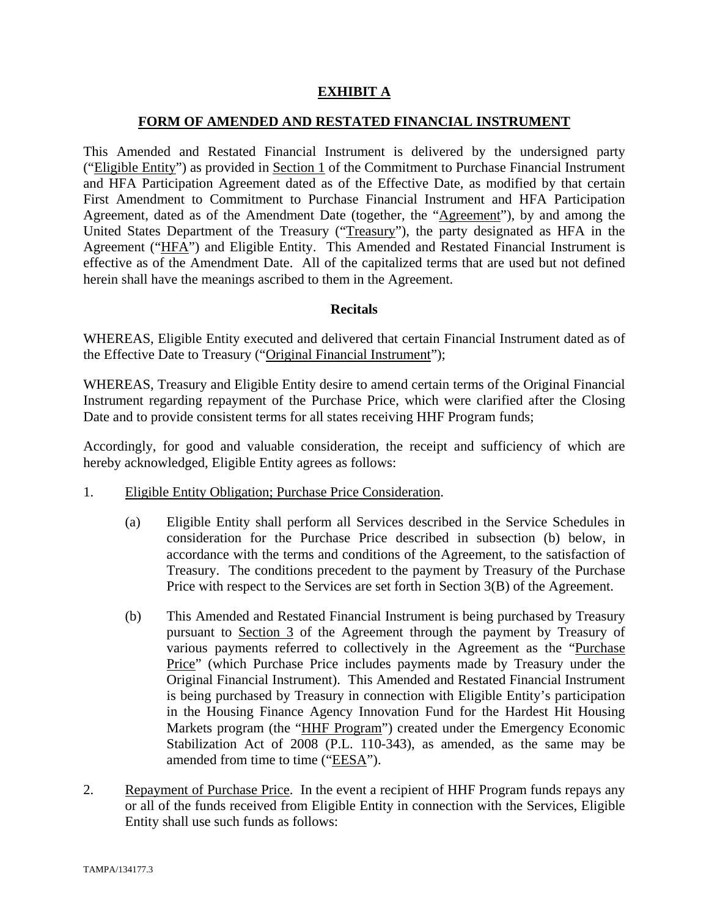## **EXHIBIT A**

### **FORM OF AMENDED AND RESTATED FINANCIAL INSTRUMENT**

This Amended and Restated Financial Instrument is delivered by the undersigned party ("Eligible Entity") as provided in Section 1 of the Commitment to Purchase Financial Instrument and HFA Participation Agreement dated as of the Effective Date, as modified by that certain First Amendment to Commitment to Purchase Financial Instrument and HFA Participation Agreement, dated as of the Amendment Date (together, the "Agreement"), by and among the United States Department of the Treasury ("Treasury"), the party designated as HFA in the Agreement ("HFA") and Eligible Entity. This Amended and Restated Financial Instrument is effective as of the Amendment Date. All of the capitalized terms that are used but not defined herein shall have the meanings ascribed to them in the Agreement.

#### **Recitals**

WHEREAS, Eligible Entity executed and delivered that certain Financial Instrument dated as of the Effective Date to Treasury ("Original Financial Instrument");

WHEREAS, Treasury and Eligible Entity desire to amend certain terms of the Original Financial Instrument regarding repayment of the Purchase Price, which were clarified after the Closing Date and to provide consistent terms for all states receiving HHF Program funds;

Accordingly, for good and valuable consideration, the receipt and sufficiency of which are hereby acknowledged, Eligible Entity agrees as follows:

- 1. Eligible Entity Obligation; Purchase Price Consideration.
	- (a) Eligible Entity shall perform all Services described in the Service Schedules in consideration for the Purchase Price described in subsection (b) below, in accordance with the terms and conditions of the Agreement, to the satisfaction of Treasury. The conditions precedent to the payment by Treasury of the Purchase Price with respect to the Services are set forth in Section 3(B) of the Agreement.
	- (b) This Amended and Restated Financial Instrument is being purchased by Treasury pursuant to Section 3 of the Agreement through the payment by Treasury of various payments referred to collectively in the Agreement as the "Purchase Price" (which Purchase Price includes payments made by Treasury under the Original Financial Instrument). This Amended and Restated Financial Instrument is being purchased by Treasury in connection with Eligible Entity's participation in the Housing Finance Agency Innovation Fund for the Hardest Hit Housing Markets program (the "HHF Program") created under the Emergency Economic Stabilization Act of 2008 (P.L. 110-343), as amended, as the same may be amended from time to time ("EESA").
- 2. Repayment of Purchase Price. In the event a recipient of HHF Program funds repays any or all of the funds received from Eligible Entity in connection with the Services, Eligible Entity shall use such funds as follows: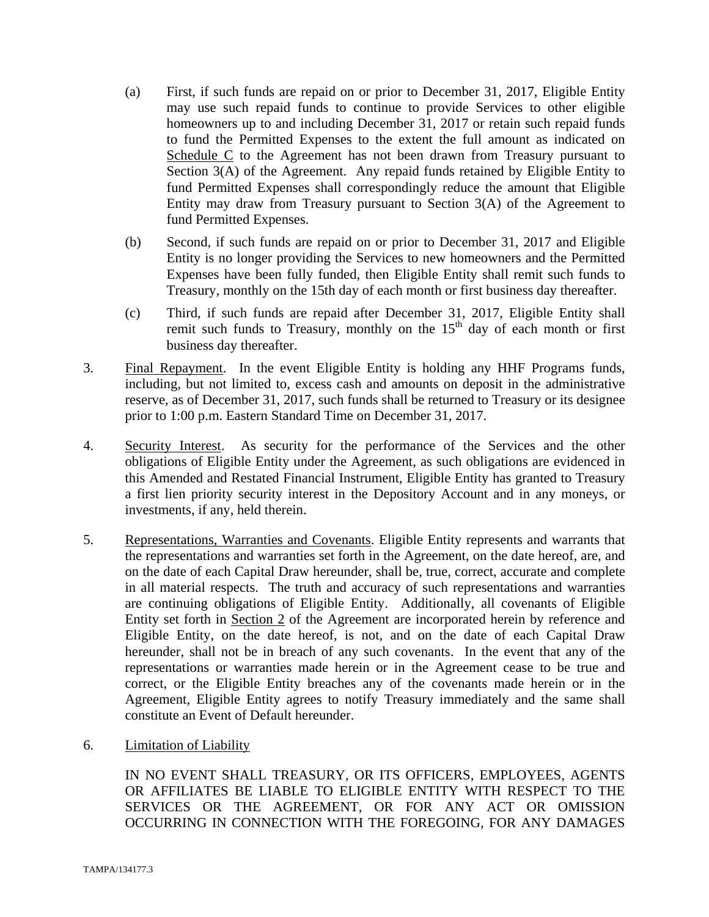- (a) First, if such funds are repaid on or prior to December 31, 2017, Eligible Entity may use such repaid funds to continue to provide Services to other eligible homeowners up to and including December 31, 2017 or retain such repaid funds to fund the Permitted Expenses to the extent the full amount as indicated on Schedule C to the Agreement has not been drawn from Treasury pursuant to Section 3(A) of the Agreement. Any repaid funds retained by Eligible Entity to fund Permitted Expenses shall correspondingly reduce the amount that Eligible Entity may draw from Treasury pursuant to Section 3(A) of the Agreement to fund Permitted Expenses.
- (b) Second, if such funds are repaid on or prior to December 31, 2017 and Eligible Entity is no longer providing the Services to new homeowners and the Permitted Expenses have been fully funded, then Eligible Entity shall remit such funds to Treasury, monthly on the 15th day of each month or first business day thereafter.
- (c) Third, if such funds are repaid after December 31, 2017, Eligible Entity shall remit such funds to Treasury, monthly on the  $15<sup>th</sup>$  day of each month or first business day thereafter.
- 3. Final Repayment. In the event Eligible Entity is holding any HHF Programs funds, including, but not limited to, excess cash and amounts on deposit in the administrative reserve, as of December 31, 2017, such funds shall be returned to Treasury or its designee prior to 1:00 p.m. Eastern Standard Time on December 31, 2017.
- 4. Security Interest. As security for the performance of the Services and the other obligations of Eligible Entity under the Agreement, as such obligations are evidenced in this Amended and Restated Financial Instrument, Eligible Entity has granted to Treasury a first lien priority security interest in the Depository Account and in any moneys, or investments, if any, held therein.
- 5. Representations, Warranties and Covenants. Eligible Entity represents and warrants that the representations and warranties set forth in the Agreement, on the date hereof, are, and on the date of each Capital Draw hereunder, shall be, true, correct, accurate and complete in all material respects. The truth and accuracy of such representations and warranties are continuing obligations of Eligible Entity. Additionally, all covenants of Eligible Entity set forth in Section 2 of the Agreement are incorporated herein by reference and Eligible Entity, on the date hereof, is not, and on the date of each Capital Draw hereunder, shall not be in breach of any such covenants. In the event that any of the representations or warranties made herein or in the Agreement cease to be true and correct, or the Eligible Entity breaches any of the covenants made herein or in the Agreement, Eligible Entity agrees to notify Treasury immediately and the same shall constitute an Event of Default hereunder.
- 6. Limitation of Liability

IN NO EVENT SHALL TREASURY, OR ITS OFFICERS, EMPLOYEES, AGENTS OR AFFILIATES BE LIABLE TO ELIGIBLE ENTITY WITH RESPECT TO THE SERVICES OR THE AGREEMENT, OR FOR ANY ACT OR OMISSION OCCURRING IN CONNECTION WITH THE FOREGOING, FOR ANY DAMAGES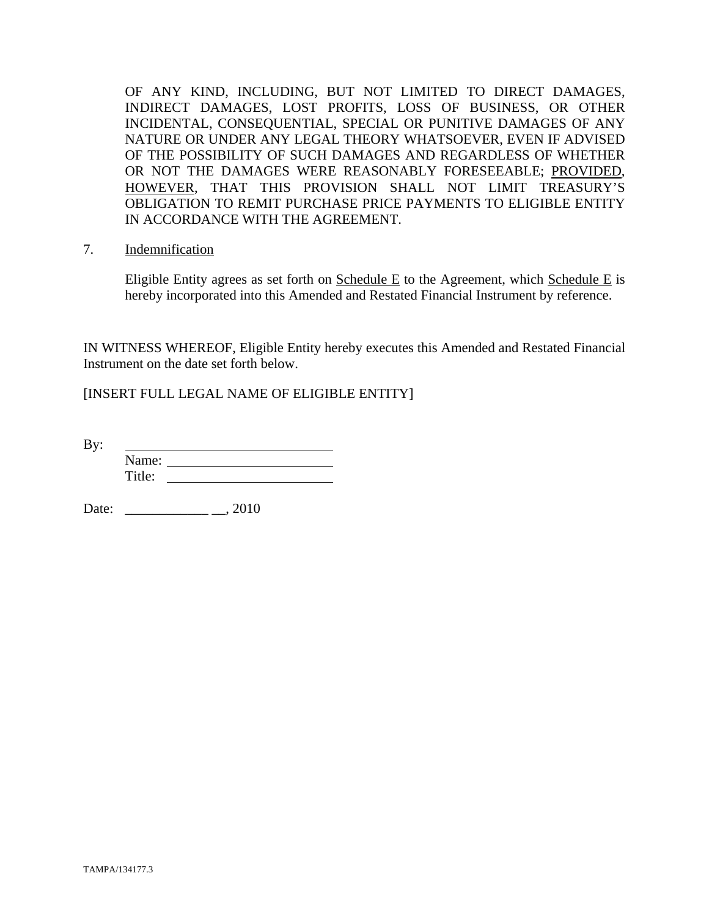OF ANY KIND, INCLUDING, BUT NOT LIMITED TO DIRECT DAMAGES, INDIRECT DAMAGES, LOST PROFITS, LOSS OF BUSINESS, OR OTHER INCIDENTAL, CONSEQUENTIAL, SPECIAL OR PUNITIVE DAMAGES OF ANY NATURE OR UNDER ANY LEGAL THEORY WHATSOEVER, EVEN IF ADVISED OF THE POSSIBILITY OF SUCH DAMAGES AND REGARDLESS OF WHETHER OR NOT THE DAMAGES WERE REASONABLY FORESEEABLE; PROVIDED, HOWEVER, THAT THIS PROVISION SHALL NOT LIMIT TREASURY'S OBLIGATION TO REMIT PURCHASE PRICE PAYMENTS TO ELIGIBLE ENTITY IN ACCORDANCE WITH THE AGREEMENT.

7. Indemnification

Eligible Entity agrees as set forth on Schedule E to the Agreement, which Schedule E is hereby incorporated into this Amended and Restated Financial Instrument by reference.

IN WITNESS WHEREOF, Eligible Entity hereby executes this Amended and Restated Financial Instrument on the date set forth below.

[INSERT FULL LEGAL NAME OF ELIGIBLE ENTITY]

By: Name: Title:

Date: \_\_\_\_\_\_\_\_\_\_\_\_ \_\_, 2010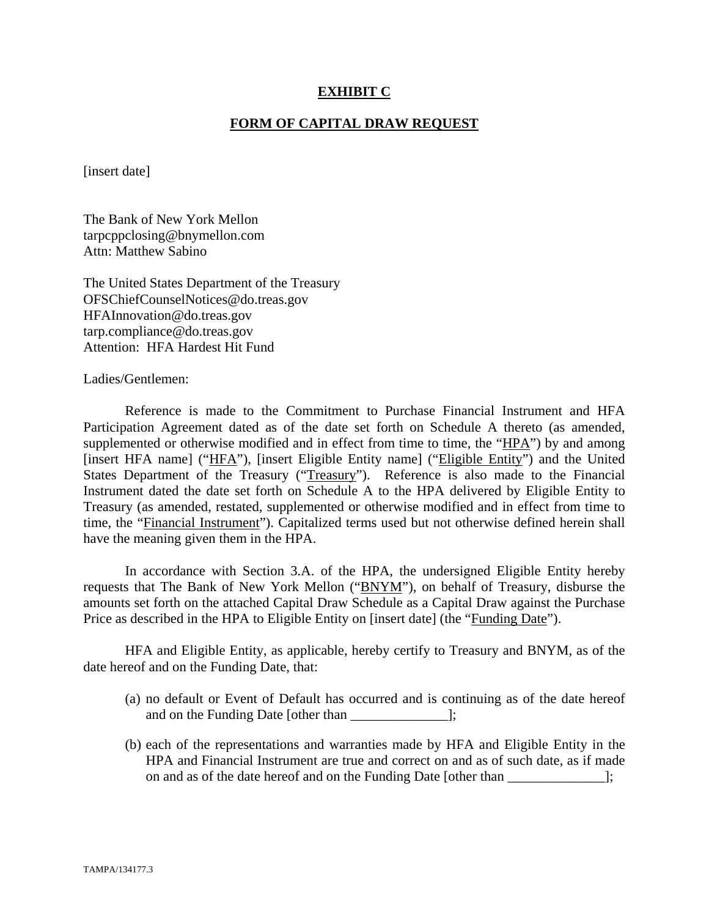### **EXHIBIT C**

#### **FORM OF CAPITAL DRAW REQUEST**

[insert date]

The Bank of New York Mellon tarpcppclosing@bnymellon.com Attn: Matthew Sabino

The United States Department of the Treasury OFSChiefCounselNotices@do.treas.gov HFAInnovation@do.treas.gov tarp.compliance@do.treas.gov Attention: HFA Hardest Hit Fund

Ladies/Gentlemen:

 Reference is made to the Commitment to Purchase Financial Instrument and HFA Participation Agreement dated as of the date set forth on Schedule A thereto (as amended, supplemented or otherwise modified and in effect from time to time, the "HPA") by and among [insert HFA name] ("HFA"), [insert Eligible Entity name] ("Eligible Entity") and the United States Department of the Treasury ("Treasury"). Reference is also made to the Financial Instrument dated the date set forth on Schedule A to the HPA delivered by Eligible Entity to Treasury (as amended, restated, supplemented or otherwise modified and in effect from time to time, the "Financial Instrument"). Capitalized terms used but not otherwise defined herein shall have the meaning given them in the HPA.

 In accordance with Section 3.A. of the HPA, the undersigned Eligible Entity hereby requests that The Bank of New York Mellon ("BNYM"), on behalf of Treasury, disburse the amounts set forth on the attached Capital Draw Schedule as a Capital Draw against the Purchase Price as described in the HPA to Eligible Entity on [insert date] (the "Funding Date").

 HFA and Eligible Entity, as applicable, hereby certify to Treasury and BNYM, as of the date hereof and on the Funding Date, that:

- (a) no default or Event of Default has occurred and is continuing as of the date hereof and on the Funding Date [other than  $\cdot$ ];
- (b) each of the representations and warranties made by HFA and Eligible Entity in the HPA and Financial Instrument are true and correct on and as of such date, as if made on and as of the date hereof and on the Funding Date [other than \_\_\_\_\_\_\_\_\_\_\_\_\_\_];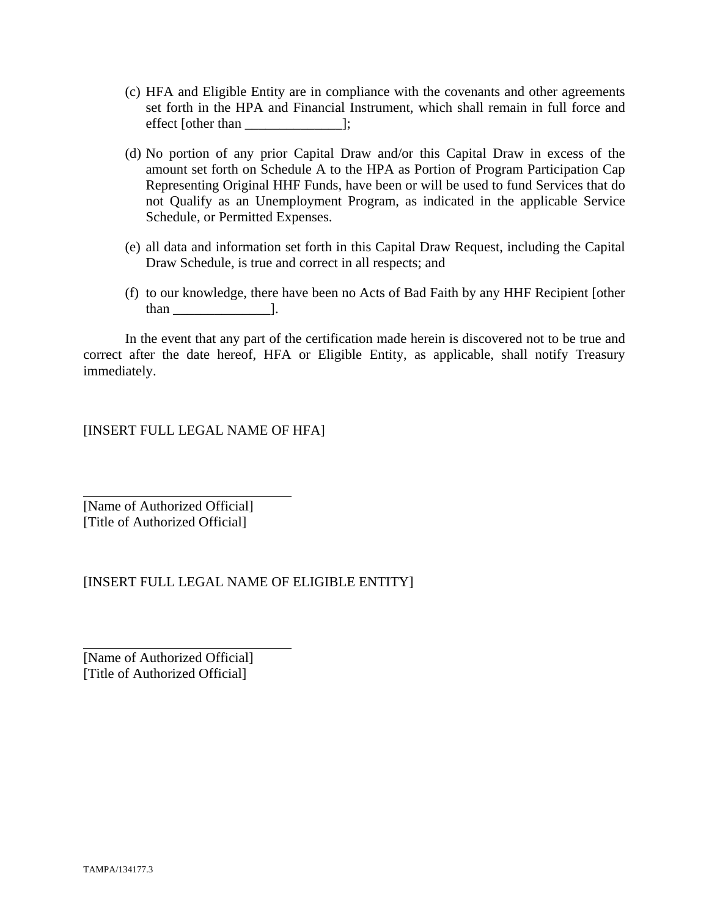- (c) HFA and Eligible Entity are in compliance with the covenants and other agreements set forth in the HPA and Financial Instrument, which shall remain in full force and effect [other than \_\_\_\_\_\_\_\_\_\_\_\_\_\_];
- (d) No portion of any prior Capital Draw and/or this Capital Draw in excess of the amount set forth on Schedule A to the HPA as Portion of Program Participation Cap Representing Original HHF Funds, have been or will be used to fund Services that do not Qualify as an Unemployment Program, as indicated in the applicable Service Schedule, or Permitted Expenses.
- (e) all data and information set forth in this Capital Draw Request, including the Capital Draw Schedule, is true and correct in all respects; and
- (f) to our knowledge, there have been no Acts of Bad Faith by any HHF Recipient [other than \_\_\_\_\_\_\_\_\_\_\_\_\_\_].

 In the event that any part of the certification made herein is discovered not to be true and correct after the date hereof, HFA or Eligible Entity, as applicable, shall notify Treasury immediately.

[INSERT FULL LEGAL NAME OF HFA]

[Name of Authorized Official] [Title of Authorized Official]

 $\overline{a}$ 

l

## [INSERT FULL LEGAL NAME OF ELIGIBLE ENTITY]

[Name of Authorized Official] [Title of Authorized Official]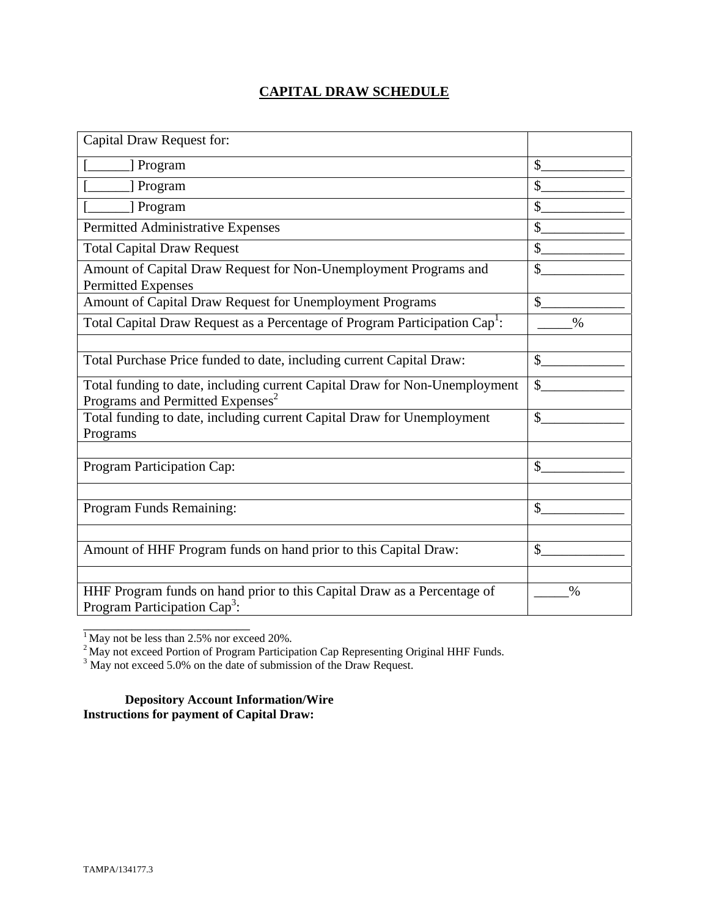# **CAPITAL DRAW SCHEDULE**

| Capital Draw Request for:                                                                                                  |               |
|----------------------------------------------------------------------------------------------------------------------------|---------------|
| [] Program                                                                                                                 | \$            |
| ] Program                                                                                                                  | $\mathcal{S}$ |
| [ Program                                                                                                                  | \$            |
| Permitted Administrative Expenses                                                                                          | \$            |
| <b>Total Capital Draw Request</b>                                                                                          | \$            |
| Amount of Capital Draw Request for Non-Unemployment Programs and<br><b>Permitted Expenses</b>                              | \$            |
| Amount of Capital Draw Request for Unemployment Programs                                                                   | $\mathcal{S}$ |
| Total Capital Draw Request as a Percentage of Program Participation Cap <sup>1</sup> :                                     | $\%$          |
|                                                                                                                            |               |
| Total Purchase Price funded to date, including current Capital Draw:                                                       | $\mathbb{S}$  |
| Total funding to date, including current Capital Draw for Non-Unemployment<br>Programs and Permitted Expenses <sup>2</sup> | \$            |
| Total funding to date, including current Capital Draw for Unemployment<br>Programs                                         | $\mathcal{S}$ |
|                                                                                                                            |               |
| Program Participation Cap:                                                                                                 | \$            |
|                                                                                                                            |               |
| Program Funds Remaining:                                                                                                   | \$            |
|                                                                                                                            |               |
| Amount of HHF Program funds on hand prior to this Capital Draw:                                                            | $\mathcal{S}$ |
|                                                                                                                            |               |
| HHF Program funds on hand prior to this Capital Draw as a Percentage of<br>Program Participation Cap <sup>3</sup> :        | $\%$          |

 $<sup>1</sup>$  May not be less than 2.5% nor exceed 20%.</sup>

\_\_\_\_\_\_\_\_\_\_\_\_\_\_\_\_\_\_\_\_\_\_\_\_

<sup>2</sup> May not exceed Portion of Program Participation Cap Representing Original HHF Funds.<br><sup>3</sup> May not exceed 5.0% on the date of submission of the Draw Request.

**Depository Account Information/Wire Instructions for payment of Capital Draw:**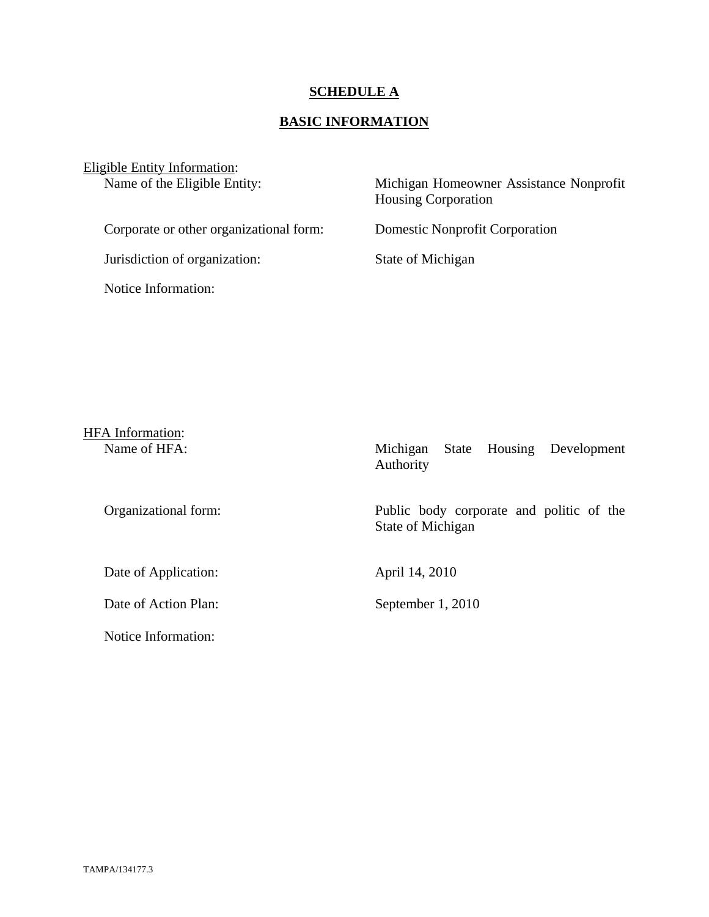## **SCHEDULE A**

## **BASIC INFORMATION**

Eligible Entity Information:

Name of the Eligible Entity:

| Michigan Homeowner Assistance Nonprofit |  |
|-----------------------------------------|--|
| <b>Housing Corporation</b>              |  |

Corporate or other organizational form: Domestic Nonprofit Corporation

Jurisdiction of organization: State of Michigan

Notice Information:

| <b>HFA</b> Information: |                                                               |
|-------------------------|---------------------------------------------------------------|
| Name of HFA:            | Housing<br>Development<br>Michigan<br>State<br>Authority      |
| Organizational form:    | Public body corporate and politic of the<br>State of Michigan |
| Date of Application:    | April 14, 2010                                                |
| Date of Action Plan:    | September 1, 2010                                             |
| Notice Information:     |                                                               |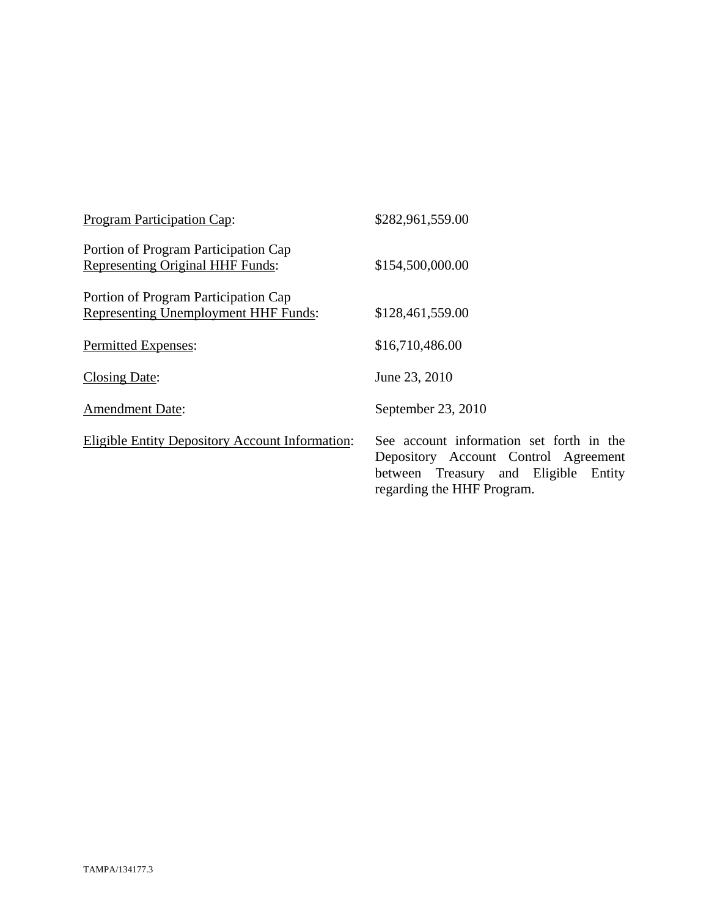| <b>Program Participation Cap:</b>                                                   | \$282,961,559.00                                                                                                                                       |
|-------------------------------------------------------------------------------------|--------------------------------------------------------------------------------------------------------------------------------------------------------|
| Portion of Program Participation Cap<br><b>Representing Original HHF Funds:</b>     | \$154,500,000.00                                                                                                                                       |
| Portion of Program Participation Cap<br><b>Representing Unemployment HHF Funds:</b> | \$128,461,559.00                                                                                                                                       |
| Permitted Expenses:                                                                 | \$16,710,486.00                                                                                                                                        |
| Closing Date:                                                                       | June 23, 2010                                                                                                                                          |
| <b>Amendment Date:</b>                                                              | September 23, 2010                                                                                                                                     |
| Eligible Entity Depository Account Information:                                     | See account information set forth in the<br>Depository Account Control Agreement<br>between Treasury and Eligible Entity<br>regarding the HHF Program. |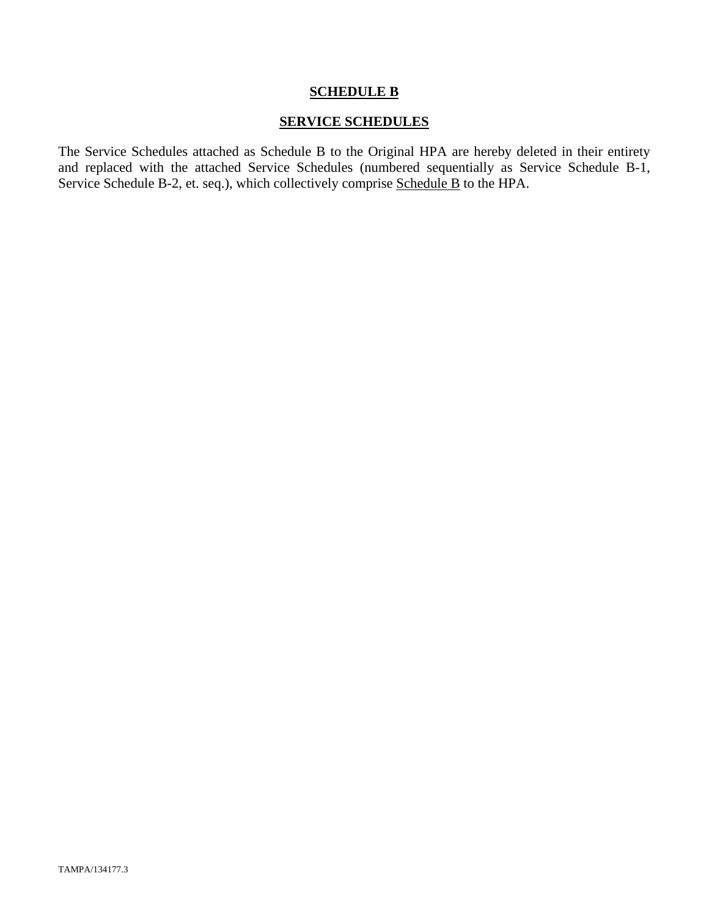### **SCHEDULE B**

## **SERVICE SCHEDULES**

The Service Schedules attached as Schedule B to the Original HPA are hereby deleted in their entirety and replaced with the attached Service Schedules (numbered sequentially as Service Schedule B-1, Service Schedule B-2, et. seq.), which collectively comprise Schedule B to the HPA.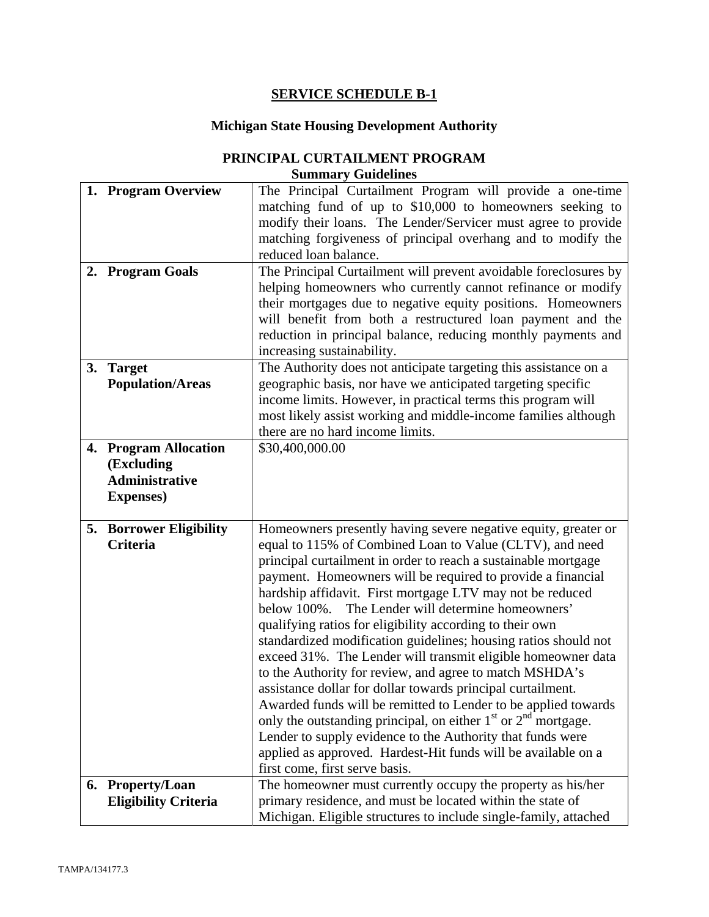# **SERVICE SCHEDULE B-1**

# **Michigan State Housing Development Authority**

| PRINCIPAL CURTAILMENT PROGRAM |
|-------------------------------|
| <b>Summary Guidelines</b>     |

|    | 1. Program Overview            | The Principal Curtailment Program will provide a one-time                                                                      |
|----|--------------------------------|--------------------------------------------------------------------------------------------------------------------------------|
|    |                                | matching fund of up to \$10,000 to homeowners seeking to                                                                       |
|    |                                | modify their loans. The Lender/Servicer must agree to provide                                                                  |
|    |                                | matching forgiveness of principal overhang and to modify the                                                                   |
|    |                                | reduced loan balance.                                                                                                          |
|    |                                |                                                                                                                                |
|    | 2. Program Goals               | The Principal Curtailment will prevent avoidable foreclosures by                                                               |
|    |                                | helping homeowners who currently cannot refinance or modify                                                                    |
|    |                                | their mortgages due to negative equity positions. Homeowners                                                                   |
|    |                                | will benefit from both a restructured loan payment and the                                                                     |
|    |                                | reduction in principal balance, reducing monthly payments and                                                                  |
|    |                                | increasing sustainability.                                                                                                     |
| 3. | <b>Target</b>                  | The Authority does not anticipate targeting this assistance on a                                                               |
|    | <b>Population/Areas</b>        | geographic basis, nor have we anticipated targeting specific                                                                   |
|    |                                | income limits. However, in practical terms this program will                                                                   |
|    |                                | most likely assist working and middle-income families although                                                                 |
|    |                                | there are no hard income limits.                                                                                               |
|    | 4. Program Allocation          | \$30,400,000.00                                                                                                                |
|    | (Excluding                     |                                                                                                                                |
|    | <b>Administrative</b>          |                                                                                                                                |
|    | <b>Expenses</b> )              |                                                                                                                                |
|    |                                |                                                                                                                                |
|    | <b>5. Borrower Eligibility</b> | Homeowners presently having severe negative equity, greater or                                                                 |
|    | <b>Criteria</b>                | equal to 115% of Combined Loan to Value (CLTV), and need                                                                       |
|    |                                | principal curtailment in order to reach a sustainable mortgage                                                                 |
|    |                                |                                                                                                                                |
|    |                                |                                                                                                                                |
|    |                                | payment. Homeowners will be required to provide a financial                                                                    |
|    |                                | hardship affidavit. First mortgage LTV may not be reduced                                                                      |
|    |                                | below 100%. The Lender will determine homeowners'                                                                              |
|    |                                | qualifying ratios for eligibility according to their own                                                                       |
|    |                                | standardized modification guidelines; housing ratios should not                                                                |
|    |                                | exceed 31%. The Lender will transmit eligible homeowner data                                                                   |
|    |                                | to the Authority for review, and agree to match MSHDA's                                                                        |
|    |                                | assistance dollar for dollar towards principal curtailment.                                                                    |
|    |                                | Awarded funds will be remitted to Lender to be applied towards                                                                 |
|    |                                | only the outstanding principal, on either $1st$ or $2nd$ mortgage.                                                             |
|    |                                | Lender to supply evidence to the Authority that funds were                                                                     |
|    |                                | applied as approved. Hardest-Hit funds will be available on a                                                                  |
|    |                                | first come, first serve basis.                                                                                                 |
|    | 6. Property/Loan               | The homeowner must currently occupy the property as his/her                                                                    |
|    | <b>Eligibility Criteria</b>    | primary residence, and must be located within the state of<br>Michigan. Eligible structures to include single-family, attached |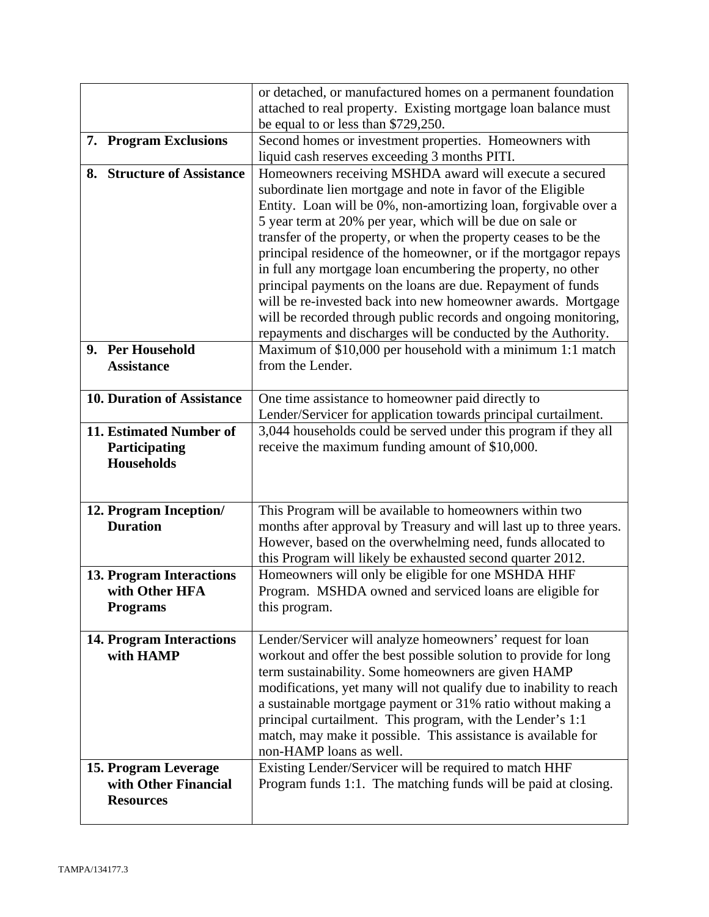|                                   | or detached, or manufactured homes on a permanent foundation<br>attached to real property. Existing mortgage loan balance must                                                            |
|-----------------------------------|-------------------------------------------------------------------------------------------------------------------------------------------------------------------------------------------|
|                                   | be equal to or less than \$729,250.                                                                                                                                                       |
| 7. Program Exclusions             | Second homes or investment properties. Homeowners with                                                                                                                                    |
|                                   | liquid cash reserves exceeding 3 months PITI.                                                                                                                                             |
| 8. Structure of Assistance        | Homeowners receiving MSHDA award will execute a secured<br>subordinate lien mortgage and note in favor of the Eligible<br>Entity. Loan will be 0%, non-amortizing loan, forgivable over a |
|                                   | 5 year term at 20% per year, which will be due on sale or                                                                                                                                 |
|                                   | transfer of the property, or when the property ceases to be the                                                                                                                           |
|                                   | principal residence of the homeowner, or if the mortgagor repays<br>in full any mortgage loan encumbering the property, no other                                                          |
|                                   | principal payments on the loans are due. Repayment of funds                                                                                                                               |
|                                   | will be re-invested back into new homeowner awards. Mortgage                                                                                                                              |
|                                   | will be recorded through public records and ongoing monitoring,                                                                                                                           |
|                                   | repayments and discharges will be conducted by the Authority.                                                                                                                             |
| 9. Per Household                  | Maximum of \$10,000 per household with a minimum 1:1 match                                                                                                                                |
| <b>Assistance</b>                 | from the Lender.                                                                                                                                                                          |
| 10. Duration of Assistance        | One time assistance to homeowner paid directly to                                                                                                                                         |
|                                   | Lender/Servicer for application towards principal curtailment.                                                                                                                            |
| 11. Estimated Number of           | 3,044 households could be served under this program if they all                                                                                                                           |
| Participating                     | receive the maximum funding amount of \$10,000.                                                                                                                                           |
| <b>Households</b>                 |                                                                                                                                                                                           |
|                                   |                                                                                                                                                                                           |
| 12. Program Inception/            | This Program will be available to homeowners within two                                                                                                                                   |
| <b>Duration</b>                   | months after approval by Treasury and will last up to three years.                                                                                                                        |
|                                   | However, based on the overwhelming need, funds allocated to                                                                                                                               |
|                                   | this Program will likely be exhausted second quarter 2012.                                                                                                                                |
| 13. Program Interactions          | Homeowners will only be eligible for one MSHDA HHF                                                                                                                                        |
| with Other HFA<br><b>Programs</b> | Program. MSHDA owned and serviced loans are eligible for<br>this program.                                                                                                                 |
|                                   |                                                                                                                                                                                           |
| <b>14. Program Interactions</b>   | Lender/Servicer will analyze homeowners' request for loan                                                                                                                                 |
| with HAMP                         | workout and offer the best possible solution to provide for long                                                                                                                          |
|                                   | term sustainability. Some homeowners are given HAMP<br>modifications, yet many will not qualify due to inability to reach                                                                 |
|                                   | a sustainable mortgage payment or 31% ratio without making a                                                                                                                              |
|                                   | principal curtailment. This program, with the Lender's 1:1                                                                                                                                |
|                                   | match, may make it possible. This assistance is available for                                                                                                                             |
|                                   | non-HAMP loans as well.                                                                                                                                                                   |
| 15. Program Leverage              | Existing Lender/Servicer will be required to match HHF                                                                                                                                    |
| with Other Financial              | Program funds 1:1. The matching funds will be paid at closing.                                                                                                                            |
| <b>Resources</b>                  |                                                                                                                                                                                           |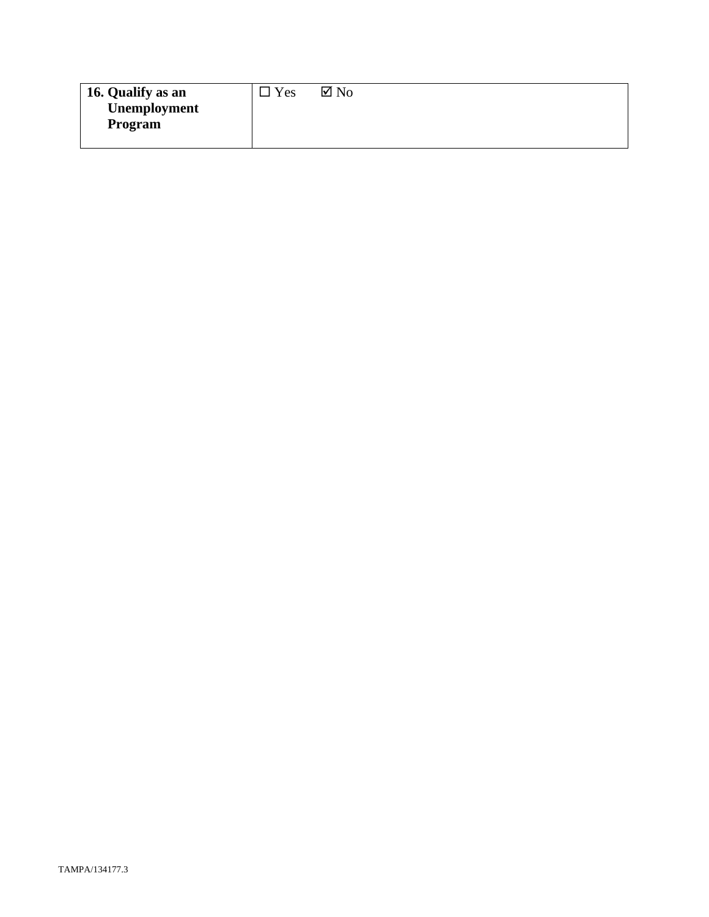| 16. Qualify as an | Yes | $\boxtimes$ No |
|-------------------|-----|----------------|
| Unemployment      |     |                |
| Program           |     |                |
|                   |     |                |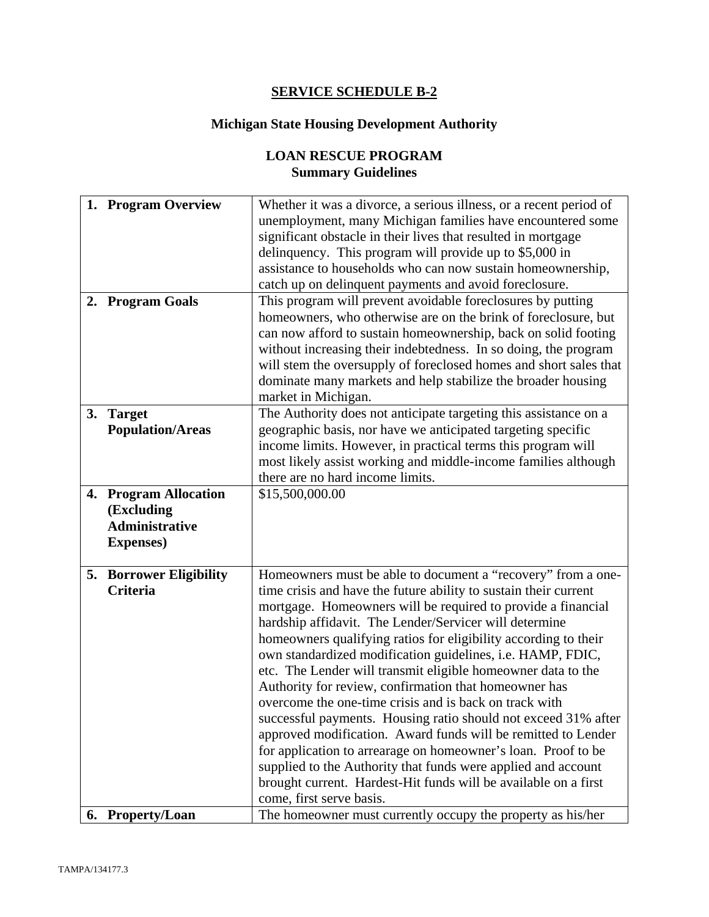## **SERVICE SCHEDULE B-2**

# **Michigan State Housing Development Authority**

# **LOAN RESCUE PROGRAM Summary Guidelines**

| unemployment, many Michigan families have encountered some                              |  |
|-----------------------------------------------------------------------------------------|--|
|                                                                                         |  |
| significant obstacle in their lives that resulted in mortgage                           |  |
| delinquency. This program will provide up to \$5,000 in                                 |  |
| assistance to households who can now sustain homeownership,                             |  |
| catch up on delinquent payments and avoid foreclosure.                                  |  |
| 2. Program Goals<br>This program will prevent avoidable foreclosures by putting         |  |
| homeowners, who otherwise are on the brink of foreclosure, but                          |  |
| can now afford to sustain homeownership, back on solid footing                          |  |
| without increasing their indebtedness. In so doing, the program                         |  |
| will stem the oversupply of foreclosed homes and short sales that                       |  |
| dominate many markets and help stabilize the broader housing                            |  |
| market in Michigan.                                                                     |  |
| 3. Target<br>The Authority does not anticipate targeting this assistance on a           |  |
| geographic basis, nor have we anticipated targeting specific<br><b>Population/Areas</b> |  |
| income limits. However, in practical terms this program will                            |  |
| most likely assist working and middle-income families although                          |  |
| there are no hard income limits.                                                        |  |
| 4. Program Allocation<br>\$15,500,000.00                                                |  |
| (Excluding                                                                              |  |
| <b>Administrative</b>                                                                   |  |
| <b>Expenses</b> )                                                                       |  |
|                                                                                         |  |
| Homeowners must be able to document a "recovery" from a one-<br>5. Borrower Eligibility |  |
| Criteria<br>time crisis and have the future ability to sustain their current            |  |
| mortgage. Homeowners will be required to provide a financial                            |  |
| hardship affidavit. The Lender/Servicer will determine                                  |  |
| homeowners qualifying ratios for eligibility according to their                         |  |
| own standardized modification guidelines, i.e. HAMP, FDIC,                              |  |
| etc. The Lender will transmit eligible homeowner data to the                            |  |
| Authority for review, confirmation that homeowner has                                   |  |
| overcome the one-time crisis and is back on track with                                  |  |
| successful payments. Housing ratio should not exceed 31% after                          |  |
| approved modification. Award funds will be remitted to Lender                           |  |
| for application to arrearage on homeowner's loan. Proof to be                           |  |
| supplied to the Authority that funds were applied and account                           |  |
| brought current. Hardest-Hit funds will be available on a first                         |  |
| come, first serve basis.                                                                |  |
| The homeowner must currently occupy the property as his/her<br>6. Property/Loan         |  |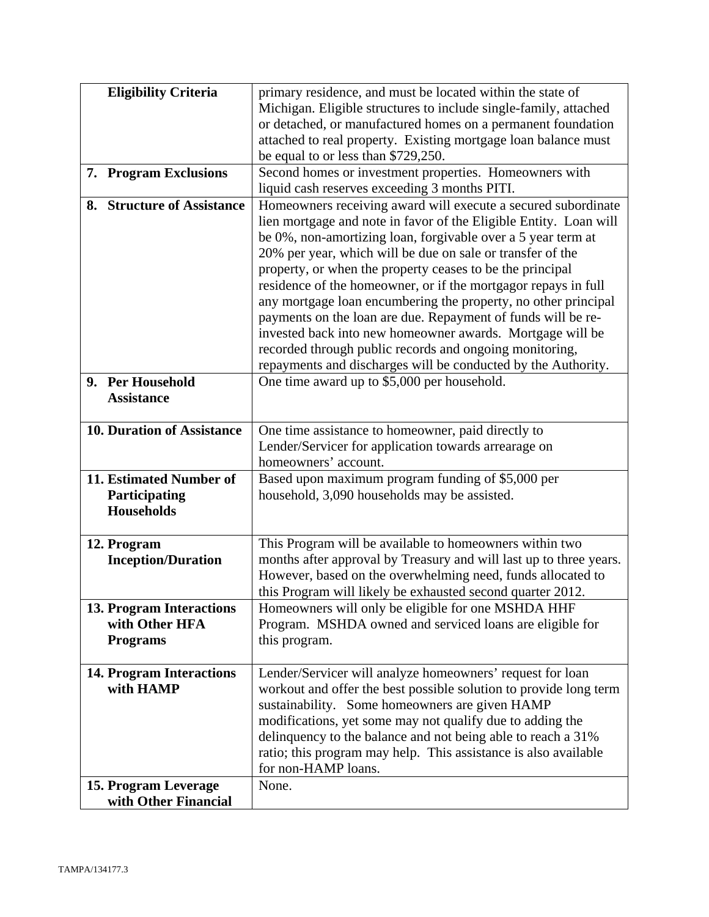| <b>Eligibility Criteria</b>                  | primary residence, and must be located within the state of         |
|----------------------------------------------|--------------------------------------------------------------------|
|                                              | Michigan. Eligible structures to include single-family, attached   |
|                                              | or detached, or manufactured homes on a permanent foundation       |
|                                              | attached to real property. Existing mortgage loan balance must     |
|                                              | be equal to or less than \$729,250.                                |
| <b>Program Exclusions</b><br>7.              | Second homes or investment properties. Homeowners with             |
|                                              | liquid cash reserves exceeding 3 months PITI.                      |
| 8. Structure of Assistance                   | Homeowners receiving award will execute a secured subordinate      |
|                                              | lien mortgage and note in favor of the Eligible Entity. Loan will  |
|                                              | be 0%, non-amortizing loan, forgivable over a 5 year term at       |
|                                              | 20% per year, which will be due on sale or transfer of the         |
|                                              | property, or when the property ceases to be the principal          |
|                                              | residence of the homeowner, or if the mortgagor repays in full     |
|                                              | any mortgage loan encumbering the property, no other principal     |
|                                              | payments on the loan are due. Repayment of funds will be re-       |
|                                              | invested back into new homeowner awards. Mortgage will be          |
|                                              | recorded through public records and ongoing monitoring,            |
|                                              | repayments and discharges will be conducted by the Authority.      |
| 9. Per Household                             | One time award up to \$5,000 per household.                        |
| <b>Assistance</b>                            |                                                                    |
|                                              |                                                                    |
| 10. Duration of Assistance                   | One time assistance to homeowner, paid directly to                 |
|                                              | Lender/Servicer for application towards arrearage on               |
|                                              | homeowners' account.                                               |
| 11. Estimated Number of                      | Based upon maximum program funding of \$5,000 per                  |
| Participating                                | household, 3,090 households may be assisted.                       |
| <b>Households</b>                            |                                                                    |
|                                              |                                                                    |
| 12. Program                                  | This Program will be available to homeowners within two            |
| <b>Inception/Duration</b>                    | months after approval by Treasury and will last up to three years. |
|                                              | However, based on the overwhelming need, funds allocated to        |
|                                              | this Program will likely be exhausted second quarter 2012.         |
| 13. Program Interactions                     | Homeowners will only be eligible for one MSHDA HHF                 |
| with Other HFA                               | Program. MSHDA owned and serviced loans are eligible for           |
| <b>Programs</b>                              | this program.                                                      |
|                                              | Lender/Servicer will analyze homeowners' request for loan          |
| <b>14. Program Interactions</b><br>with HAMP | workout and offer the best possible solution to provide long term  |
|                                              | sustainability. Some homeowners are given HAMP                     |
|                                              | modifications, yet some may not qualify due to adding the          |
|                                              | delinquency to the balance and not being able to reach a 31%       |
|                                              | ratio; this program may help. This assistance is also available    |
|                                              | for non-HAMP loans.                                                |
| 15. Program Leverage                         | None.                                                              |
| with Other Financial                         |                                                                    |
|                                              |                                                                    |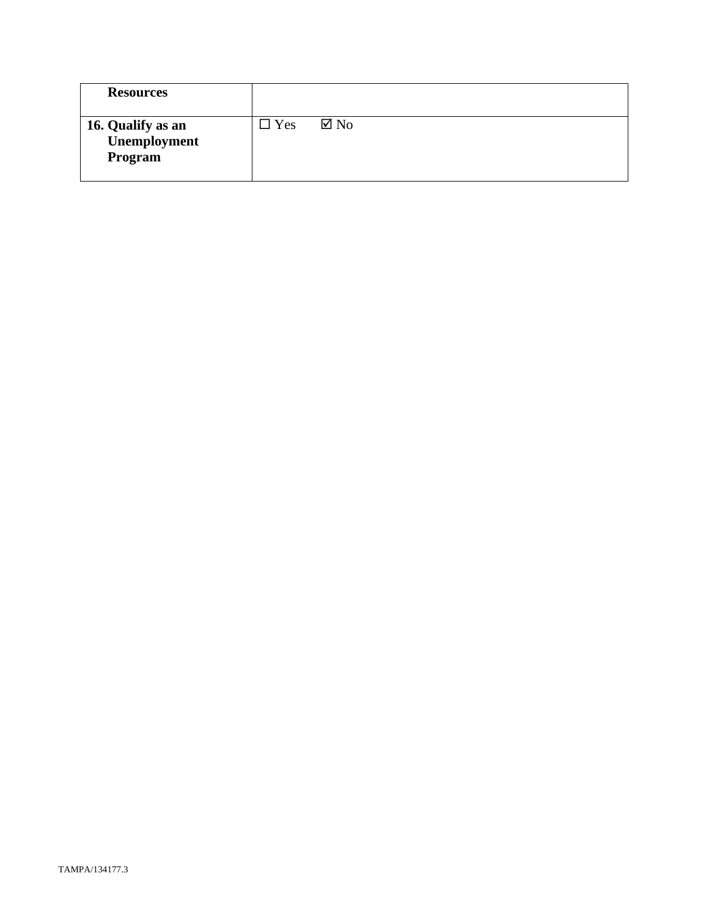| <b>Resources</b>                             |            |                |
|----------------------------------------------|------------|----------------|
| 16. Qualify as an<br>Unemployment<br>Program | $\Box$ Yes | $\boxtimes$ No |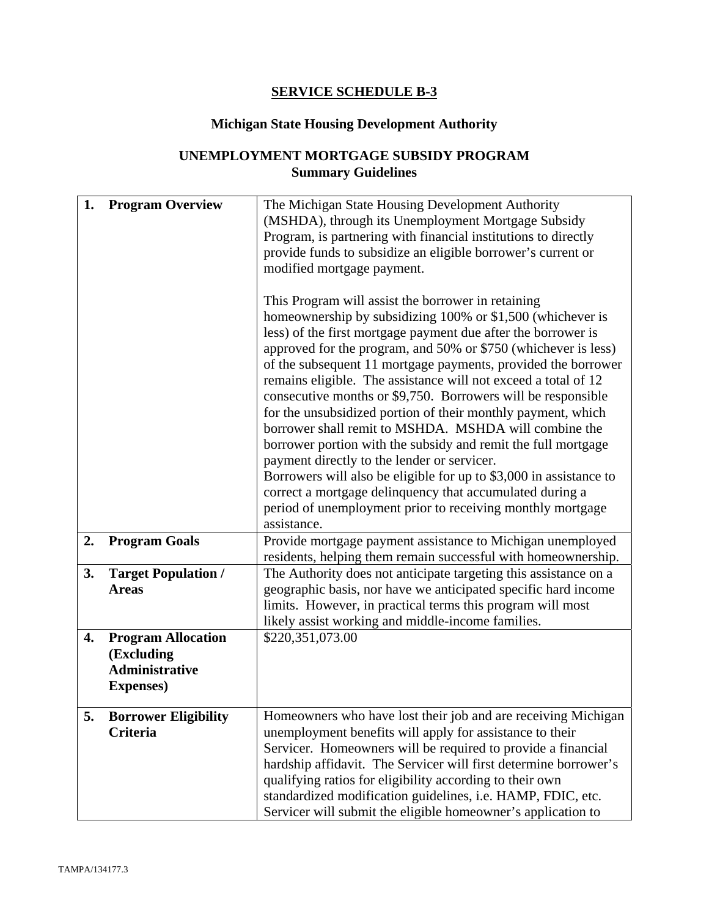# **SERVICE SCHEDULE B-3**

# **Michigan State Housing Development Authority**

# **UNEMPLOYMENT MORTGAGE SUBSIDY PROGRAM Summary Guidelines**

| 1. | <b>Program Overview</b>             | The Michigan State Housing Development Authority<br>(MSHDA), through its Unemployment Mortgage Subsidy                           |
|----|-------------------------------------|----------------------------------------------------------------------------------------------------------------------------------|
|    |                                     | Program, is partnering with financial institutions to directly                                                                   |
|    |                                     | provide funds to subsidize an eligible borrower's current or<br>modified mortgage payment.                                       |
|    |                                     |                                                                                                                                  |
|    |                                     | This Program will assist the borrower in retaining                                                                               |
|    |                                     | homeownership by subsidizing 100% or \$1,500 (whichever is                                                                       |
|    |                                     | less) of the first mortgage payment due after the borrower is<br>approved for the program, and 50% or \$750 (whichever is less)  |
|    |                                     | of the subsequent 11 mortgage payments, provided the borrower                                                                    |
|    |                                     | remains eligible. The assistance will not exceed a total of 12                                                                   |
|    |                                     | consecutive months or \$9,750. Borrowers will be responsible                                                                     |
|    |                                     | for the unsubsidized portion of their monthly payment, which                                                                     |
|    |                                     | borrower shall remit to MSHDA. MSHDA will combine the<br>borrower portion with the subsidy and remit the full mortgage           |
|    |                                     | payment directly to the lender or servicer.                                                                                      |
|    |                                     | Borrowers will also be eligible for up to \$3,000 in assistance to                                                               |
|    |                                     | correct a mortgage delinquency that accumulated during a                                                                         |
|    |                                     | period of unemployment prior to receiving monthly mortgage                                                                       |
|    |                                     | assistance.                                                                                                                      |
| 2. | <b>Program Goals</b>                | Provide mortgage payment assistance to Michigan unemployed<br>residents, helping them remain successful with homeownership.      |
| 3. | <b>Target Population /</b>          | The Authority does not anticipate targeting this assistance on a                                                                 |
|    | <b>Areas</b>                        | geographic basis, nor have we anticipated specific hard income                                                                   |
|    |                                     | limits. However, in practical terms this program will most                                                                       |
|    |                                     | likely assist working and middle-income families.                                                                                |
| 4. | <b>Program Allocation</b>           | \$220,351,073.00                                                                                                                 |
|    | (Excluding<br><b>Administrative</b> |                                                                                                                                  |
|    | <b>Expenses</b> )                   |                                                                                                                                  |
|    |                                     |                                                                                                                                  |
| 5. | <b>Borrower Eligibility</b>         | Homeowners who have lost their job and are receiving Michigan                                                                    |
|    | Criteria                            | unemployment benefits will apply for assistance to their                                                                         |
|    |                                     | Servicer. Homeowners will be required to provide a financial<br>hardship affidavit. The Servicer will first determine borrower's |
|    |                                     | qualifying ratios for eligibility according to their own                                                                         |
|    |                                     | standardized modification guidelines, i.e. HAMP, FDIC, etc.                                                                      |
|    |                                     | Servicer will submit the eligible homeowner's application to                                                                     |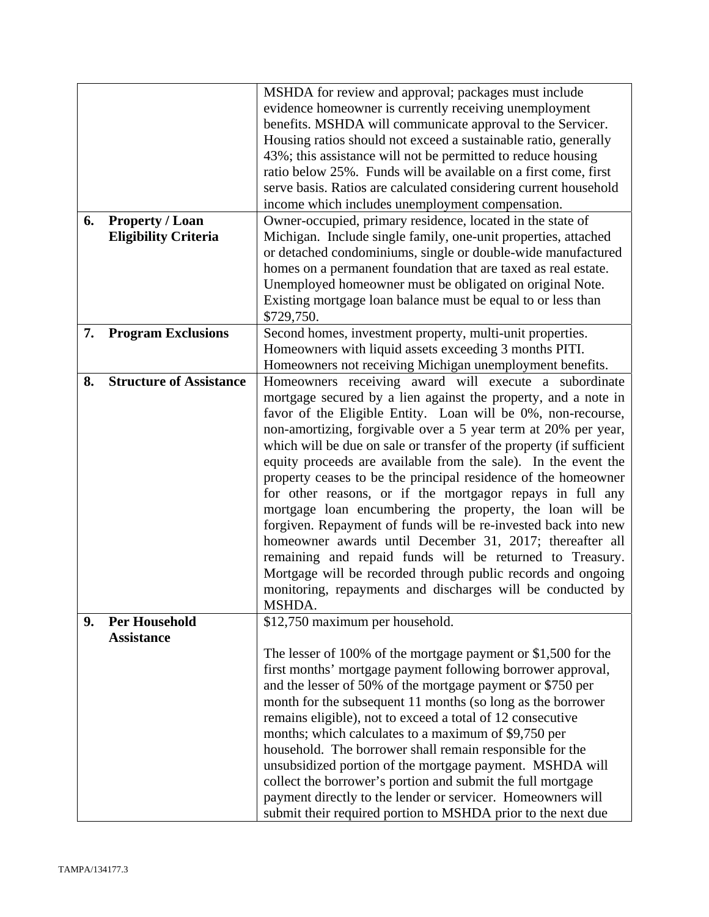|    |                                                                                               | MSHDA for review and approval; packages must include                                                                        |
|----|-----------------------------------------------------------------------------------------------|-----------------------------------------------------------------------------------------------------------------------------|
|    |                                                                                               | evidence homeowner is currently receiving unemployment                                                                      |
|    |                                                                                               | benefits. MSHDA will communicate approval to the Servicer.                                                                  |
|    |                                                                                               | Housing ratios should not exceed a sustainable ratio, generally                                                             |
|    |                                                                                               | 43%; this assistance will not be permitted to reduce housing                                                                |
|    |                                                                                               | ratio below 25%. Funds will be available on a first come, first                                                             |
|    |                                                                                               | serve basis. Ratios are calculated considering current household                                                            |
|    |                                                                                               | income which includes unemployment compensation.                                                                            |
| 6. | <b>Property / Loan</b>                                                                        | Owner-occupied, primary residence, located in the state of                                                                  |
|    | Michigan. Include single family, one-unit properties, attached<br><b>Eligibility Criteria</b> |                                                                                                                             |
|    |                                                                                               | or detached condominiums, single or double-wide manufactured                                                                |
|    |                                                                                               | homes on a permanent foundation that are taxed as real estate.                                                              |
|    |                                                                                               | Unemployed homeowner must be obligated on original Note.                                                                    |
|    |                                                                                               | Existing mortgage loan balance must be equal to or less than                                                                |
|    |                                                                                               | \$729,750.                                                                                                                  |
| 7. | <b>Program Exclusions</b>                                                                     | Second homes, investment property, multi-unit properties.                                                                   |
|    |                                                                                               | Homeowners with liquid assets exceeding 3 months PITI.                                                                      |
|    |                                                                                               | Homeowners not receiving Michigan unemployment benefits.                                                                    |
| 8. | <b>Structure of Assistance</b>                                                                | Homeowners receiving award will execute a subordinate                                                                       |
|    |                                                                                               | mortgage secured by a lien against the property, and a note in                                                              |
|    |                                                                                               | favor of the Eligible Entity. Loan will be 0%, non-recourse,                                                                |
|    |                                                                                               | non-amortizing, forgivable over a 5 year term at 20% per year,                                                              |
|    |                                                                                               | which will be due on sale or transfer of the property (if sufficient                                                        |
|    |                                                                                               | equity proceeds are available from the sale). In the event the                                                              |
|    |                                                                                               |                                                                                                                             |
|    |                                                                                               | property ceases to be the principal residence of the homeowner<br>for other reasons, or if the mortgagor repays in full any |
|    |                                                                                               |                                                                                                                             |
|    |                                                                                               | mortgage loan encumbering the property, the loan will be                                                                    |
|    |                                                                                               | forgiven. Repayment of funds will be re-invested back into new                                                              |
|    |                                                                                               | homeowner awards until December 31, 2017; thereafter all                                                                    |
|    |                                                                                               | remaining and repaid funds will be returned to Treasury.                                                                    |
|    |                                                                                               | Mortgage will be recorded through public records and ongoing                                                                |
|    |                                                                                               | monitoring, repayments and discharges will be conducted by                                                                  |
|    |                                                                                               | MSHDA.                                                                                                                      |
| 9. | <b>Per Household</b>                                                                          | \$12,750 maximum per household.                                                                                             |
|    | <b>Assistance</b>                                                                             |                                                                                                                             |
|    |                                                                                               | The lesser of 100% of the mortgage payment or \$1,500 for the                                                               |
|    |                                                                                               | first months' mortgage payment following borrower approval,                                                                 |
|    |                                                                                               | and the lesser of 50% of the mortgage payment or \$750 per                                                                  |
|    |                                                                                               | month for the subsequent 11 months (so long as the borrower                                                                 |
|    |                                                                                               | remains eligible), not to exceed a total of 12 consecutive                                                                  |
|    |                                                                                               | months; which calculates to a maximum of \$9,750 per                                                                        |
|    |                                                                                               | household. The borrower shall remain responsible for the                                                                    |
|    |                                                                                               | unsubsidized portion of the mortgage payment. MSHDA will                                                                    |
|    |                                                                                               | collect the borrower's portion and submit the full mortgage                                                                 |
|    |                                                                                               | payment directly to the lender or servicer. Homeowners will                                                                 |
|    |                                                                                               | submit their required portion to MSHDA prior to the next due                                                                |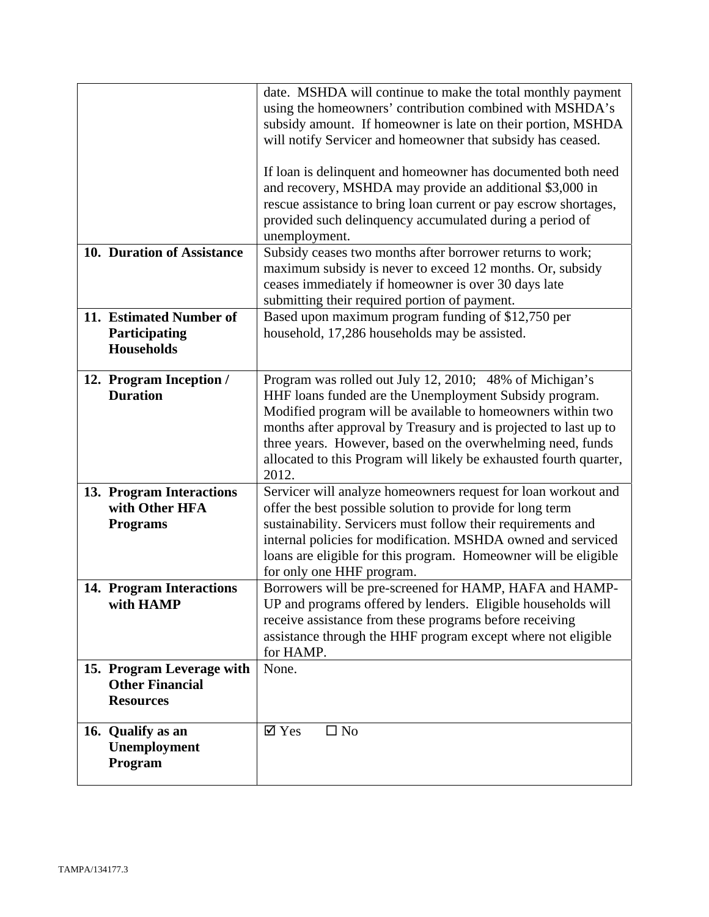|                                                                         | date. MSHDA will continue to make the total monthly payment<br>using the homeowners' contribution combined with MSHDA's<br>subsidy amount. If homeowner is late on their portion, MSHDA<br>will notify Servicer and homeowner that subsidy has ceased.<br>If loan is delinquent and homeowner has documented both need<br>and recovery, MSHDA may provide an additional \$3,000 in<br>rescue assistance to bring loan current or pay escrow shortages,<br>provided such delinquency accumulated during a period of<br>unemployment. |
|-------------------------------------------------------------------------|-------------------------------------------------------------------------------------------------------------------------------------------------------------------------------------------------------------------------------------------------------------------------------------------------------------------------------------------------------------------------------------------------------------------------------------------------------------------------------------------------------------------------------------|
| 10. Duration of Assistance                                              | Subsidy ceases two months after borrower returns to work;<br>maximum subsidy is never to exceed 12 months. Or, subsidy<br>ceases immediately if homeowner is over 30 days late<br>submitting their required portion of payment.                                                                                                                                                                                                                                                                                                     |
| 11. Estimated Number of<br>Participating<br><b>Households</b>           | Based upon maximum program funding of \$12,750 per<br>household, 17,286 households may be assisted.                                                                                                                                                                                                                                                                                                                                                                                                                                 |
| 12. Program Inception /<br><b>Duration</b>                              | Program was rolled out July 12, 2010; 48% of Michigan's<br>HHF loans funded are the Unemployment Subsidy program.<br>Modified program will be available to homeowners within two<br>months after approval by Treasury and is projected to last up to<br>three years. However, based on the overwhelming need, funds<br>allocated to this Program will likely be exhausted fourth quarter,<br>2012.                                                                                                                                  |
| 13. Program Interactions<br>with Other HFA<br><b>Programs</b>           | Servicer will analyze homeowners request for loan workout and<br>offer the best possible solution to provide for long term<br>sustainability. Servicers must follow their requirements and<br>internal policies for modification. MSHDA owned and serviced<br>loans are eligible for this program. Homeowner will be eligible<br>for only one HHF program.                                                                                                                                                                          |
| 14. Program Interactions<br>with HAMP                                   | Borrowers will be pre-screened for HAMP, HAFA and HAMP-<br>UP and programs offered by lenders. Eligible households will<br>receive assistance from these programs before receiving<br>assistance through the HHF program except where not eligible<br>for HAMP.                                                                                                                                                                                                                                                                     |
| 15. Program Leverage with<br><b>Other Financial</b><br><b>Resources</b> | None.                                                                                                                                                                                                                                                                                                                                                                                                                                                                                                                               |
| 16. Qualify as an<br>Unemployment<br>Program                            | $\boxtimes$ Yes<br>$\square$ No                                                                                                                                                                                                                                                                                                                                                                                                                                                                                                     |